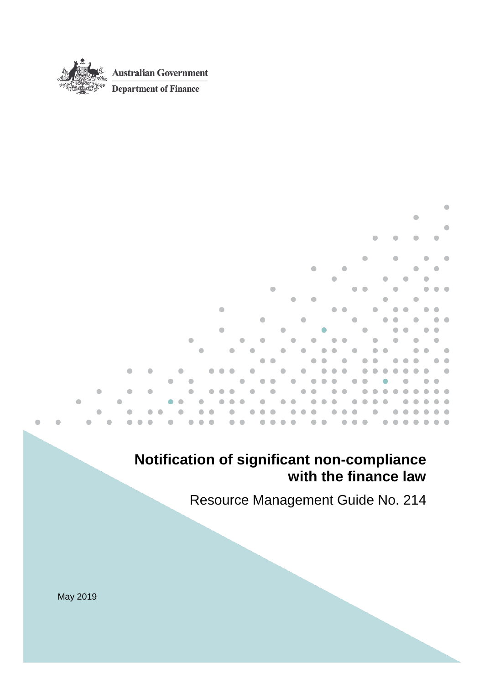

٠

# **Notification of significant non-compliance with the finance law**

Resource Management Guide No. 214

٠

May 2019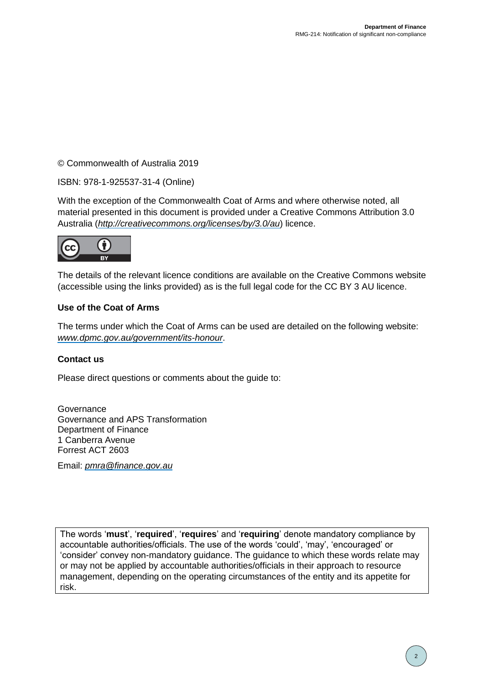© Commonwealth of Australia 2019

ISBN: 978-1-925537-31-4 (Online)

With the exception of the Commonwealth Coat of Arms and where otherwise noted, all material presented in this document is provided under a Creative Commons Attribution 3.0 Australia (*[http://creativecommons.org/licenses/by/3.0/au](http://creativecommons.org/licenses/by/3.0/au/)*) licence.



The details of the relevant licence conditions are available on the Creative Commons website (accessible using the links provided) as is the full legal code for the CC BY 3 AU licence.

#### **Use of the Coat of Arms**

The terms under which the Coat of Arms can be used are detailed on the following website: *[www.dpmc.gov.au/government/its-honour](http://www.dpmc.gov.au/government/its-honour)*.

#### **Contact us**

Please direct questions or comments about the guide to:

**Governance** Governance and APS Transformation Department of Finance 1 Canberra Avenue Forrest ACT 2603

Email: *[pmra@finance.gov.au](mailto:pmra@finance.gov.au)*

The words '**must**', '**required**', '**requires**' and '**requiring**' denote mandatory compliance by accountable authorities/officials. The use of the words 'could', 'may', 'encouraged' or 'consider' convey non-mandatory guidance. The guidance to which these words relate may or may not be applied by accountable authorities/officials in their approach to resource management, depending on the operating circumstances of the entity and its appetite for risk.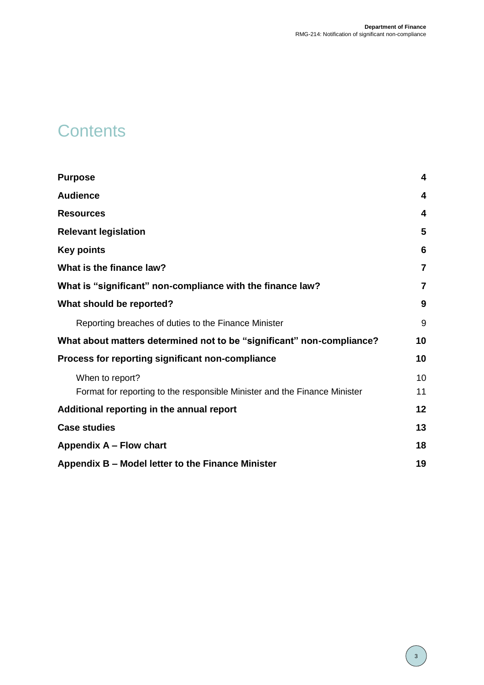# **Contents**

| <b>Purpose</b>                                                            | $\overline{\mathbf{4}}$ |
|---------------------------------------------------------------------------|-------------------------|
| <b>Audience</b>                                                           | 4                       |
| <b>Resources</b>                                                          | 4                       |
| <b>Relevant legislation</b>                                               | 5                       |
| <b>Key points</b>                                                         | 6                       |
| What is the finance law?                                                  | $\overline{7}$          |
| What is "significant" non-compliance with the finance law?                | 7                       |
| What should be reported?                                                  | 9                       |
| Reporting breaches of duties to the Finance Minister                      | 9                       |
| What about matters determined not to be "significant" non-compliance?     | 10                      |
| Process for reporting significant non-compliance                          | 10                      |
| When to report?                                                           | 10                      |
| Format for reporting to the responsible Minister and the Finance Minister | 11                      |
| Additional reporting in the annual report                                 | 12                      |
| <b>Case studies</b>                                                       | 13                      |
| Appendix A - Flow chart                                                   | 18                      |
| Appendix B – Model letter to the Finance Minister                         | 19                      |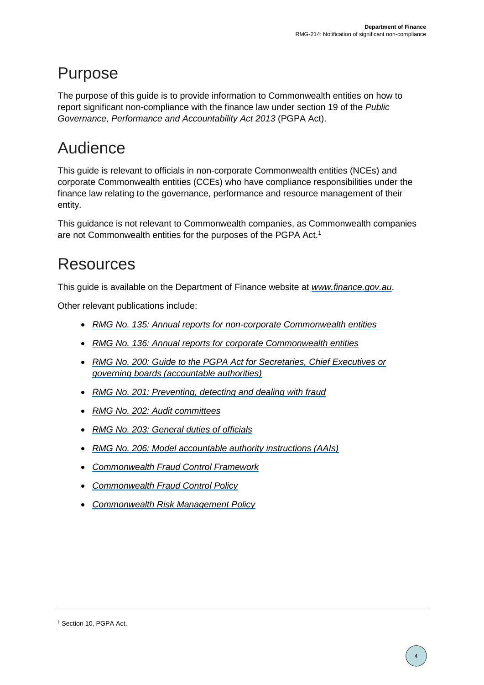# <span id="page-3-0"></span>Purpose

The purpose of this guide is to provide information to Commonwealth entities on how to report significant non-compliance with the finance law under section 19 of the *Public Governance, Performance and Accountability Act 2013* (PGPA Act).

# <span id="page-3-1"></span>Audience

This guide is relevant to officials in non-corporate Commonwealth entities (NCEs) and corporate Commonwealth entities (CCEs) who have compliance responsibilities under the finance law relating to the governance, performance and resource management of their entity.

This guidance is not relevant to Commonwealth companies, as Commonwealth companies are not Commonwealth entities for the purposes of the PGPA Act.<sup>1</sup>

## <span id="page-3-2"></span>Resources

This guide is available on the Department of Finance website at *[www.finance.gov.au](http://www.finance.gov.au/)*.

Other relevant publications include:

- *[RMG No. 135: Annual reports for non-corporate Commonwealth entities](https://www.finance.gov.au/resource-management/performance/)*
- *[RMG No. 136: Annual reports for corporate Commonwealth entities](https://www.finance.gov.au/resource-management/performance/)*
- *[RMG No. 200: Guide to the PGPA Act for Secretaries, Chief Executives or](https://www.finance.gov.au/resource-management/accountability/accountable-authorities/)  [governing boards \(accountable authorities\)](https://www.finance.gov.au/resource-management/accountability/accountable-authorities/)*
- *[RMG No. 201: Preventing, detecting and dealing with fraud](https://www.ag.gov.au/Integrity/FraudControl/Documents/FraudGuidance.pdf)*
- *RMG No. 202: [Audit committees](https://www.finance.gov.au/resource-management/audit-committees/)*
- *[RMG No. 203: General duties of officials](https://www.finance.gov.au/rmg-203/official-duties/)*
- *[RMG No. 206: Model accountable authority instructions \(AAIs\)](https://www.finance.gov.au/resource-management/accountability/accountable-authority-instructions/)*
- *[Commonwealth Fraud Control Framework](https://www.ag.gov.au/Integrity/FraudControl/Pages/FraudControlFramework.aspx)*
- *[Commonwealth Fraud Control Policy](https://www.ag.gov.au/Integrity/FraudControl/Documents/FraudControlPolicy.pdf)*
- *[Commonwealth Risk Management Policy](https://www.finance.gov.au/comcover/risk-management/the-commonwealth-risk-management-policy/)*

<sup>&</sup>lt;sup>1</sup> Section 10, PGPA Act.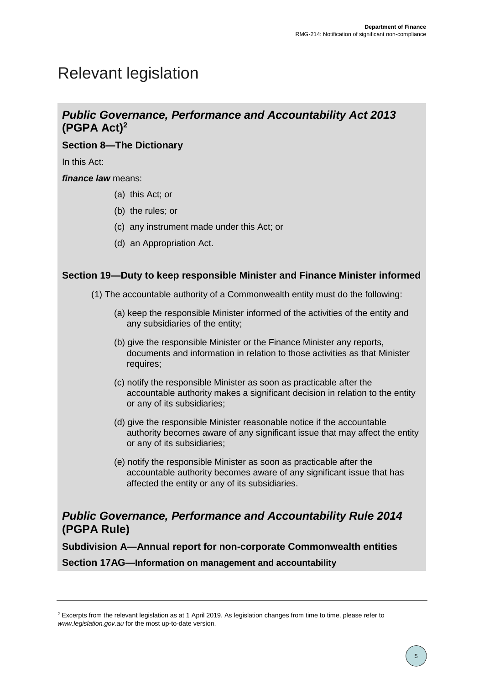# <span id="page-4-0"></span>Relevant legislation

### *Public Governance, Performance and Accountability Act 2013* **(PGPA Act)<sup>2</sup>**

### **Section 8—The Dictionary**

In this Act:

*finance law* means:

- (a) this Act; or
- (b) the rules; or
- (c) any instrument made under this Act; or
- (d) an Appropriation Act.

### **Section 19—Duty to keep responsible Minister and Finance Minister informed**

- (1) The accountable authority of a Commonwealth entity must do the following:
	- (a) keep the responsible Minister informed of the activities of the entity and any subsidiaries of the entity;
	- (b) give the responsible Minister or the Finance Minister any reports, documents and information in relation to those activities as that Minister requires;
	- (c) notify the responsible Minister as soon as practicable after the accountable authority makes a significant decision in relation to the entity or any of its subsidiaries;
	- (d) give the responsible Minister reasonable notice if the accountable authority becomes aware of any significant issue that may affect the entity or any of its subsidiaries;
	- (e) notify the responsible Minister as soon as practicable after the accountable authority becomes aware of any significant issue that has affected the entity or any of its subsidiaries.

### *Public Governance, Performance and Accountability Rule 2014*  **(PGPA Rule)**

**Subdivision A—Annual report for non-corporate Commonwealth entities**

**Section 17AG—Information on management and accountability**

<sup>&</sup>lt;sup>2</sup> Excerpts from the relevant legislation as at 1 April 2019. As legislation changes from time to time, please refer to *www.legislation.gov.au* for the most up-to-date version.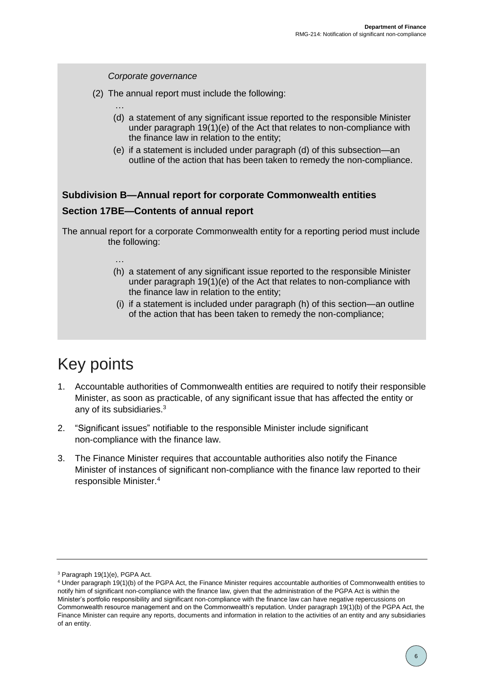

# <span id="page-5-0"></span>Key points

- 1. Accountable authorities of Commonwealth entities are required to notify their responsible Minister, as soon as practicable, of any significant issue that has affected the entity or any of its subsidiaries.<sup>3</sup>
- 2. "Significant issues" notifiable to the responsible Minister include significant non-compliance with the finance law.
- 3. The Finance Minister requires that accountable authorities also notify the Finance Minister of instances of significant non-compliance with the finance law reported to their responsible Minister. 4

<sup>3</sup> Paragraph 19(1)(e), PGPA Act.

<sup>4</sup> Under paragraph 19(1)(b) of the PGPA Act, the Finance Minister requires accountable authorities of Commonwealth entities to notify him of significant non-compliance with the finance law, given that the administration of the PGPA Act is within the Minister's portfolio responsibility and significant non-compliance with the finance law can have negative repercussions on Commonwealth resource management and on the Commonwealth's reputation. Under paragraph 19(1)(b) of the PGPA Act, the Finance Minister can require any reports, documents and information in relation to the activities of an entity and any subsidiaries of an entity.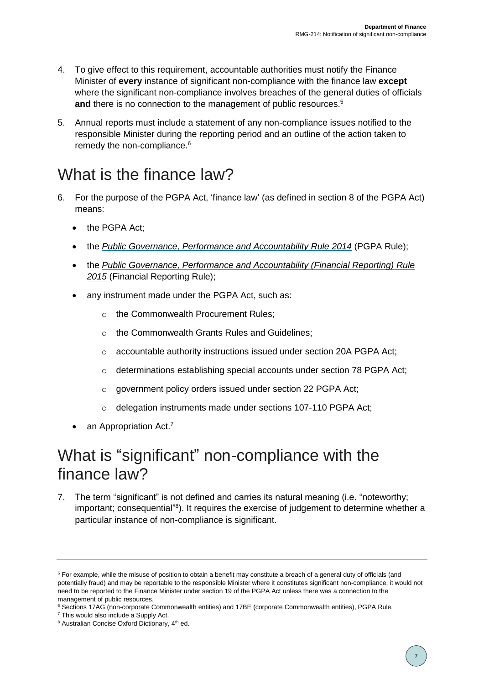- 4. To give effect to this requirement, accountable authorities must notify the Finance Minister of **every** instance of significant non-compliance with the finance law **except** where the significant non-compliance involves breaches of the general duties of officials and there is no connection to the management of public resources.<sup>5</sup>
- 5. Annual reports must include a statement of any non-compliance issues notified to the responsible Minister during the reporting period and an outline of the action taken to remedy the non-compliance. 6

# <span id="page-6-0"></span>What is the finance law?

- 6. For the purpose of the PGPA Act, 'finance law' (as defined in section 8 of the PGPA Act) means:
	- the PGPA Act;
	- the *[Public Governance, Performance and Accountability Rule 2014](https://www.legislation.gov.au/Series/F2014L00911)* (PGPA Rule);
	- the *[Public Governance, Performance and Accountability \(Financial Reporting\) Rule](https://www.legislation.gov.au/Series/F2015L00131)  [2015](https://www.legislation.gov.au/Series/F2015L00131)* (Financial Reporting Rule);
	- any instrument made under the PGPA Act, such as:
		- o the Commonwealth Procurement Rules;
		- o the Commonwealth Grants Rules and Guidelines;
		- o accountable authority instructions issued under section 20A PGPA Act;
		- $\circ$  determinations establishing special accounts under section 78 PGPA Act;
		- o government policy orders issued under section 22 PGPA Act;
		- o delegation instruments made under sections 107-110 PGPA Act;
	- $\bullet$  an Appropriation Act.<sup>7</sup>

## <span id="page-6-1"></span>What is "significant" non-compliance with the finance law?

7. The term "significant" is not defined and carries its natural meaning (i.e. "noteworthy; important; consequential"<sup>8</sup>). It requires the exercise of judgement to determine whether a particular instance of non-compliance is significant.

<sup>5</sup> For example, while the misuse of position to obtain a benefit may constitute a breach of a general duty of officials (and potentially fraud) and may be reportable to the responsible Minister where it constitutes significant non-compliance, it would not need to be reported to the Finance Minister under section 19 of the PGPA Act unless there was a connection to the management of public resources.

<sup>6</sup> Sections 17AG (non-corporate Commonwealth entities) and 17BE (corporate Commonwealth entities), PGPA Rule.

<sup>7</sup> This would also include a Supply Act.

<sup>&</sup>lt;sup>8</sup> Australian Concise Oxford Dictionary, 4<sup>th</sup> ed.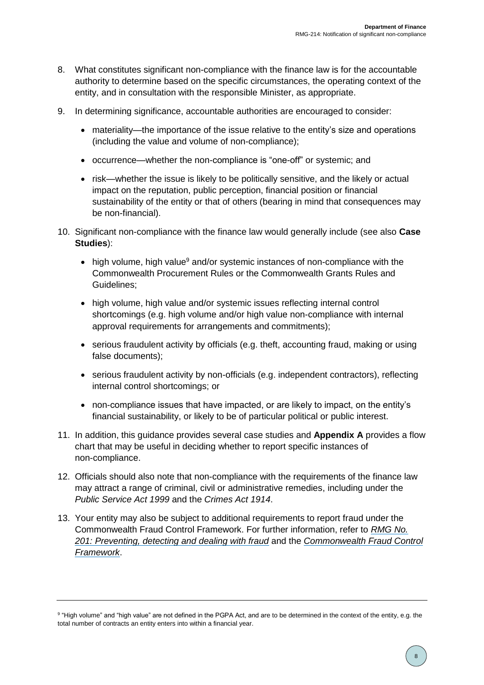- 8. What constitutes significant non-compliance with the finance law is for the accountable authority to determine based on the specific circumstances, the operating context of the entity, and in consultation with the responsible Minister, as appropriate.
- 9. In determining significance, accountable authorities are encouraged to consider:
	- materiality—the importance of the issue relative to the entity's size and operations (including the value and volume of non-compliance);
	- occurrence—whether the non-compliance is "one-off" or systemic; and
	- risk—whether the issue is likely to be politically sensitive, and the likely or actual impact on the reputation, public perception, financial position or financial sustainability of the entity or that of others (bearing in mind that consequences may be non-financial).
- 10. Significant non-compliance with the finance law would generally include (see also **Case Studies**):
	- high volume, high value<sup>9</sup> and/or systemic instances of non-compliance with the Commonwealth Procurement Rules or the Commonwealth Grants Rules and Guidelines;
	- high volume, high value and/or systemic issues reflecting internal control shortcomings (e.g. high volume and/or high value non-compliance with internal approval requirements for arrangements and commitments);
	- serious fraudulent activity by officials (e.g. theft, accounting fraud, making or using false documents);
	- serious fraudulent activity by non-officials (e.g. independent contractors), reflecting internal control shortcomings; or
	- non-compliance issues that have impacted, or are likely to impact, on the entity's financial sustainability, or likely to be of particular political or public interest.
- 11. In addition, this guidance provides several case studies and **Appendix A** provides a flow chart that may be useful in deciding whether to report specific instances of non-compliance.
- 12. Officials should also note that non-compliance with the requirements of the finance law may attract a range of criminal, civil or administrative remedies, including under the *Public Service Act 1999* and the *Crimes Act 1914*.
- 13. Your entity may also be subject to additional requirements to report fraud under the Commonwealth Fraud Control Framework. For further information, refer to *[RMG No.](https://www.ag.gov.au/Integrity/FraudControl/Documents/FraudGuidance.pdf)  [201: Preventing, detecting and dealing with fraud](https://www.ag.gov.au/Integrity/FraudControl/Documents/FraudGuidance.pdf)* and the *[Commonwealth Fraud Control](https://www.ag.gov.au/Integrity/FraudControl/Pages/FraudControlFramework.aspx)  [Framework](https://www.ag.gov.au/Integrity/FraudControl/Pages/FraudControlFramework.aspx)*.

<sup>9</sup> "High volume" and "high value" are not defined in the PGPA Act, and are to be determined in the context of the entity, e.g. the total number of contracts an entity enters into within a financial year.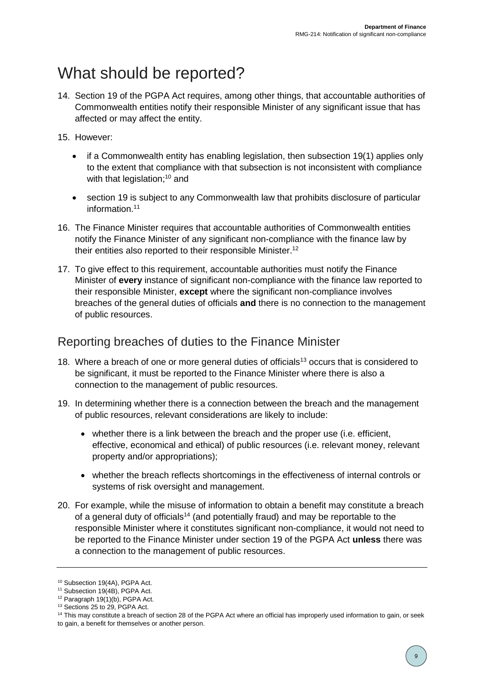## <span id="page-8-0"></span>What should be reported?

- 14. Section 19 of the PGPA Act requires, among other things, that accountable authorities of Commonwealth entities notify their responsible Minister of any significant issue that has affected or may affect the entity.
- 15. However:
	- if a Commonwealth entity has enabling legislation, then subsection 19(1) applies only to the extent that compliance with that subsection is not inconsistent with compliance with that legislation;<sup>10</sup> and
	- section 19 is subject to any Commonwealth law that prohibits disclosure of particular information.<sup>11</sup>
- 16. The Finance Minister requires that accountable authorities of Commonwealth entities notify the Finance Minister of any significant non-compliance with the finance law by their entities also reported to their responsible Minister. 12
- 17. To give effect to this requirement, accountable authorities must notify the Finance Minister of **every** instance of significant non-compliance with the finance law reported to their responsible Minister, **except** where the significant non-compliance involves breaches of the general duties of officials **and** there is no connection to the management of public resources.

### <span id="page-8-1"></span>Reporting breaches of duties to the Finance Minister

- 18. Where a breach of one or more general duties of officials<sup>13</sup> occurs that is considered to be significant, it must be reported to the Finance Minister where there is also a connection to the management of public resources.
- 19. In determining whether there is a connection between the breach and the management of public resources, relevant considerations are likely to include:
	- whether there is a link between the breach and the proper use (i.e. efficient, effective, economical and ethical) of public resources (i.e. relevant money, relevant property and/or appropriations);
	- whether the breach reflects shortcomings in the effectiveness of internal controls or systems of risk oversight and management.
- 20. For example, while the misuse of information to obtain a benefit may constitute a breach of a general duty of officials<sup>14</sup> (and potentially fraud) and may be reportable to the responsible Minister where it constitutes significant non-compliance, it would not need to be reported to the Finance Minister under section 19 of the PGPA Act **unless** there was a connection to the management of public resources.

<sup>10</sup> Subsection 19(4A), PGPA Act.

<sup>&</sup>lt;sup>11</sup> Subsection 19(4B), PGPA Act.

 $12$  Paragraph 19(1)(b), PGPA Act.

<sup>13</sup> Sections 25 to 29, PGPA Act.

<sup>&</sup>lt;sup>14</sup> This may constitute a breach of section 28 of the PGPA Act where an official has improperly used information to gain, or seek to gain, a benefit for themselves or another person.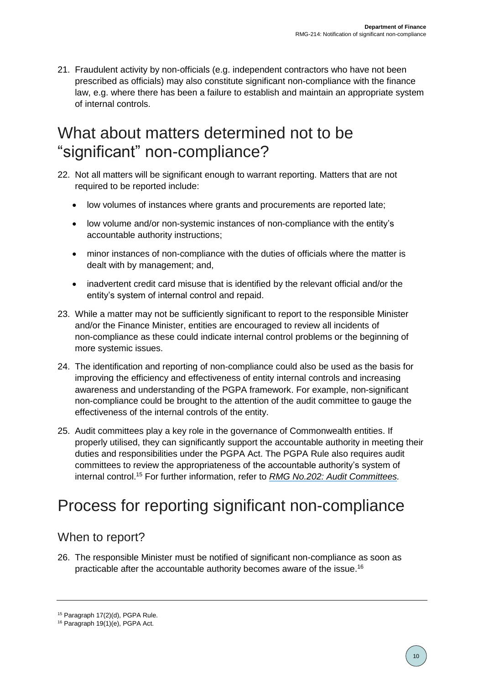21. Fraudulent activity by non-officials (e.g. independent contractors who have not been prescribed as officials) may also constitute significant non-compliance with the finance law, e.g. where there has been a failure to establish and maintain an appropriate system of internal controls.

## <span id="page-9-0"></span>What about matters determined not to be "significant" non-compliance?

- 22. Not all matters will be significant enough to warrant reporting. Matters that are not required to be reported include:
	- low volumes of instances where grants and procurements are reported late;
	- low volume and/or non-systemic instances of non-compliance with the entity's accountable authority instructions;
	- minor instances of non-compliance with the duties of officials where the matter is dealt with by management; and,
	- inadvertent credit card misuse that is identified by the relevant official and/or the entity's system of internal control and repaid.
- 23. While a matter may not be sufficiently significant to report to the responsible Minister and/or the Finance Minister, entities are encouraged to review all incidents of non-compliance as these could indicate internal control problems or the beginning of more systemic issues.
- 24. The identification and reporting of non-compliance could also be used as the basis for improving the efficiency and effectiveness of entity internal controls and increasing awareness and understanding of the PGPA framework. For example, non-significant non-compliance could be brought to the attention of the audit committee to gauge the effectiveness of the internal controls of the entity.
- 25. Audit committees play a key role in the governance of Commonwealth entities. If properly utilised, they can significantly support the accountable authority in meeting their duties and responsibilities under the PGPA Act. The PGPA Rule also requires audit committees to review the appropriateness of the accountable authority's system of internal control. <sup>15</sup> For further information, refer to *[RMG No.202: Audit Committees.](https://www.finance.gov.au/resource-management/audit-committees/)*

# <span id="page-9-1"></span>Process for reporting significant non-compliance

### <span id="page-9-2"></span>When to report?

26. The responsible Minister must be notified of significant non-compliance as soon as practicable after the accountable authority becomes aware of the issue.<sup>16</sup>

<sup>15</sup> Paragraph 17(2)(d), PGPA Rule.

<sup>16</sup> Paragraph 19(1)(e), PGPA Act.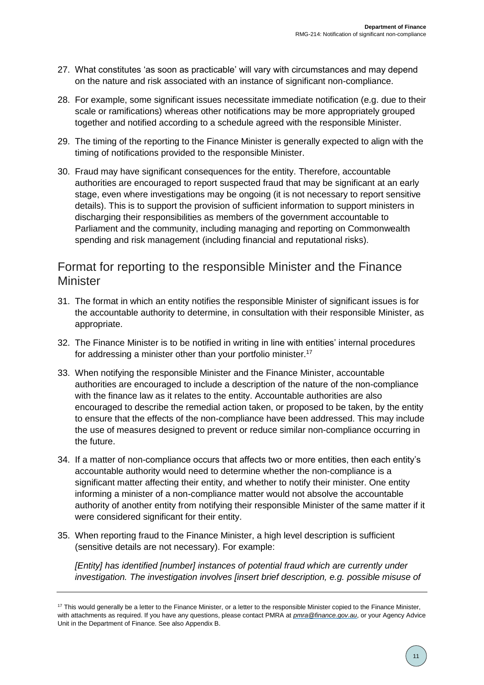- 27. What constitutes 'as soon as practicable' will vary with circumstances and may depend on the nature and risk associated with an instance of significant non-compliance.
- 28. For example, some significant issues necessitate immediate notification (e.g. due to their scale or ramifications) whereas other notifications may be more appropriately grouped together and notified according to a schedule agreed with the responsible Minister.
- 29. The timing of the reporting to the Finance Minister is generally expected to align with the timing of notifications provided to the responsible Minister.
- 30. Fraud may have significant consequences for the entity. Therefore, accountable authorities are encouraged to report suspected fraud that may be significant at an early stage, even where investigations may be ongoing (it is not necessary to report sensitive details). This is to support the provision of sufficient information to support ministers in discharging their responsibilities as members of the government accountable to Parliament and the community, including managing and reporting on Commonwealth spending and risk management (including financial and reputational risks).

### <span id="page-10-0"></span>Format for reporting to the responsible Minister and the Finance **Minister**

- 31. The format in which an entity notifies the responsible Minister of significant issues is for the accountable authority to determine, in consultation with their responsible Minister, as appropriate.
- 32. The Finance Minister is to be notified in writing in line with entities' internal procedures for addressing a minister other than your portfolio minister.<sup>17</sup>
- 33. When notifying the responsible Minister and the Finance Minister, accountable authorities are encouraged to include a description of the nature of the non-compliance with the finance law as it relates to the entity. Accountable authorities are also encouraged to describe the remedial action taken, or proposed to be taken, by the entity to ensure that the effects of the non-compliance have been addressed. This may include the use of measures designed to prevent or reduce similar non-compliance occurring in the future.
- 34. If a matter of non-compliance occurs that affects two or more entities, then each entity's accountable authority would need to determine whether the non-compliance is a significant matter affecting their entity, and whether to notify their minister. One entity informing a minister of a non-compliance matter would not absolve the accountable authority of another entity from notifying their responsible Minister of the same matter if it were considered significant for their entity.
- 35. When reporting fraud to the Finance Minister, a high level description is sufficient (sensitive details are not necessary). For example:

*[Entity] has identified [number] instances of potential fraud which are currently under investigation. The investigation involves [insert brief description, e.g. possible misuse of* 

<sup>&</sup>lt;sup>17</sup> This would generally be a letter to the Finance Minister, or a letter to the responsible Minister copied to the Finance Minister, with attachments as required. If you have any questions, please contact PMRA at *[pmra@finance.gov.au](mailto:pmra@finance.gov.au)*, or your Agency Advice Unit in the Department of Finance. See also Appendix B.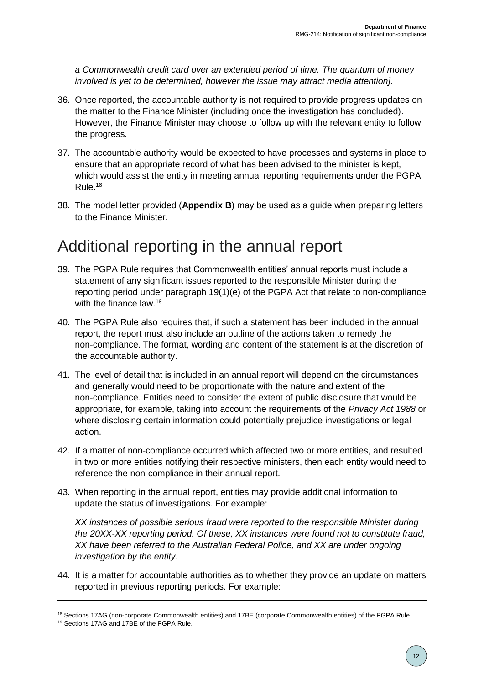*a Commonwealth credit card over an extended period of time. The quantum of money involved is yet to be determined, however the issue may attract media attention].*

- 36. Once reported, the accountable authority is not required to provide progress updates on the matter to the Finance Minister (including once the investigation has concluded). However, the Finance Minister may choose to follow up with the relevant entity to follow the progress.
- 37. The accountable authority would be expected to have processes and systems in place to ensure that an appropriate record of what has been advised to the minister is kept, which would assist the entity in meeting annual reporting requirements under the PGPA Rule. 18
- 38. The model letter provided (**Appendix B**) may be used as a guide when preparing letters to the Finance Minister.

## <span id="page-11-0"></span>Additional reporting in the annual report

- 39. The PGPA Rule requires that Commonwealth entities' annual reports must include a statement of any significant issues reported to the responsible Minister during the reporting period under paragraph 19(1)(e) of the PGPA Act that relate to non-compliance with the finance law.<sup>19</sup>
- 40. The PGPA Rule also requires that, if such a statement has been included in the annual report, the report must also include an outline of the actions taken to remedy the non-compliance. The format, wording and content of the statement is at the discretion of the accountable authority.
- 41. The level of detail that is included in an annual report will depend on the circumstances and generally would need to be proportionate with the nature and extent of the non-compliance. Entities need to consider the extent of public disclosure that would be appropriate, for example, taking into account the requirements of the *Privacy Act 1988* or where disclosing certain information could potentially prejudice investigations or legal action.
- 42. If a matter of non-compliance occurred which affected two or more entities, and resulted in two or more entities notifying their respective ministers, then each entity would need to reference the non-compliance in their annual report.
- 43. When reporting in the annual report, entities may provide additional information to update the status of investigations. For example:

*XX instances of possible serious fraud were reported to the responsible Minister during the 20XX-XX reporting period. Of these, XX instances were found not to constitute fraud, XX have been referred to the Australian Federal Police, and XX are under ongoing investigation by the entity.*

44. It is a matter for accountable authorities as to whether they provide an update on matters reported in previous reporting periods. For example:

<sup>&</sup>lt;sup>18</sup> Sections 17AG (non-corporate Commonwealth entities) and 17BE (corporate Commonwealth entities) of the PGPA Rule.

<sup>19</sup> Sections 17AG and 17BE of the PGPA Rule.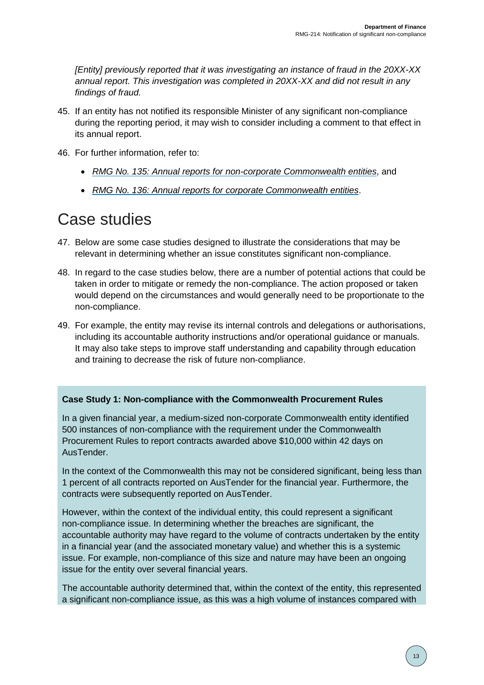*[Entity] previously reported that it was investigating an instance of fraud in the 20XX-XX annual report. This investigation was completed in 20XX-XX and did not result in any findings of fraud.*

- 45. If an entity has not notified its responsible Minister of any significant non-compliance during the reporting period, it may wish to consider including a comment to that effect in its annual report.
- 46. For further information, refer to:
	- *[RMG No. 135: Annual reports for non-corporate Commonwealth entities](https://www.finance.gov.au/resource-management/performance/)*, and
	- *[RMG No. 136: Annual reports for corporate Commonwealth entities](https://www.finance.gov.au/resource-management/performance/)*.

## <span id="page-12-0"></span>Case studies

- 47. Below are some case studies designed to illustrate the considerations that may be relevant in determining whether an issue constitutes significant non-compliance.
- 48. In regard to the case studies below, there are a number of potential actions that could be taken in order to mitigate or remedy the non-compliance. The action proposed or taken would depend on the circumstances and would generally need to be proportionate to the non-compliance.
- 49. For example, the entity may revise its internal controls and delegations or authorisations, including its accountable authority instructions and/or operational guidance or manuals. It may also take steps to improve staff understanding and capability through education and training to decrease the risk of future non-compliance.

#### **Case Study 1: Non-compliance with the Commonwealth Procurement Rules**

In a given financial year, a medium-sized non-corporate Commonwealth entity identified 500 instances of non-compliance with the requirement under the Commonwealth Procurement Rules to report contracts awarded above \$10,000 within 42 days on AusTender.

In the context of the Commonwealth this may not be considered significant, being less than 1 percent of all contracts reported on AusTender for the financial year. Furthermore, the contracts were subsequently reported on AusTender.

However, within the context of the individual entity, this could represent a significant non-compliance issue. In determining whether the breaches are significant, the accountable authority may have regard to the volume of contracts undertaken by the entity in a financial year (and the associated monetary value) and whether this is a systemic issue. For example, non-compliance of this size and nature may have been an ongoing issue for the entity over several financial years.

The accountable authority determined that, within the context of the entity, this represented a significant non-compliance issue, as this was a high volume of instances compared with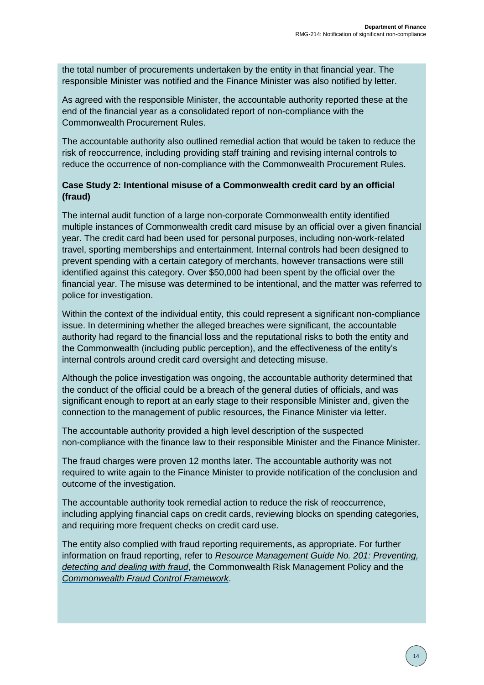the total number of procurements undertaken by the entity in that financial year. The responsible Minister was notified and the Finance Minister was also notified by letter.

As agreed with the responsible Minister, the accountable authority reported these at the end of the financial year as a consolidated report of non-compliance with the Commonwealth Procurement Rules.

The accountable authority also outlined remedial action that would be taken to reduce the risk of reoccurrence, including providing staff training and revising internal controls to reduce the occurrence of non-compliance with the Commonwealth Procurement Rules.

#### **Case Study 2: Intentional misuse of a Commonwealth credit card by an official (fraud)**

The internal audit function of a large non-corporate Commonwealth entity identified multiple instances of Commonwealth credit card misuse by an official over a given financial year. The credit card had been used for personal purposes, including non-work-related travel, sporting memberships and entertainment. Internal controls had been designed to prevent spending with a certain category of merchants, however transactions were still identified against this category. Over \$50,000 had been spent by the official over the financial year. The misuse was determined to be intentional, and the matter was referred to police for investigation.

Within the context of the individual entity, this could represent a significant non-compliance issue. In determining whether the alleged breaches were significant, the accountable authority had regard to the financial loss and the reputational risks to both the entity and the Commonwealth (including public perception), and the effectiveness of the entity's internal controls around credit card oversight and detecting misuse.

Although the police investigation was ongoing, the accountable authority determined that the conduct of the official could be a breach of the general duties of officials, and was significant enough to report at an early stage to their responsible Minister and, given the connection to the management of public resources, the Finance Minister via letter.

The accountable authority provided a high level description of the suspected non-compliance with the finance law to their responsible Minister and the Finance Minister.

The fraud charges were proven 12 months later. The accountable authority was not required to write again to the Finance Minister to provide notification of the conclusion and outcome of the investigation.

The accountable authority took remedial action to reduce the risk of reoccurrence, including applying financial caps on credit cards, reviewing blocks on spending categories, and requiring more frequent checks on credit card use.

The entity also complied with fraud reporting requirements, as appropriate. For further information on fraud reporting, refer to *[Resource Management Guide No. 201: Preventing,](https://www.ag.gov.au/Integrity/FraudControl/Documents/FraudGuidance.pdf)  [detecting and dealing with fraud](https://www.ag.gov.au/Integrity/FraudControl/Documents/FraudGuidance.pdf)*, the Commonwealth Risk Management Policy and the *[Commonwealth Fraud Control Framework](https://www.ag.gov.au/Integrity/FraudControl/Pages/FraudControlFramework.aspx)*.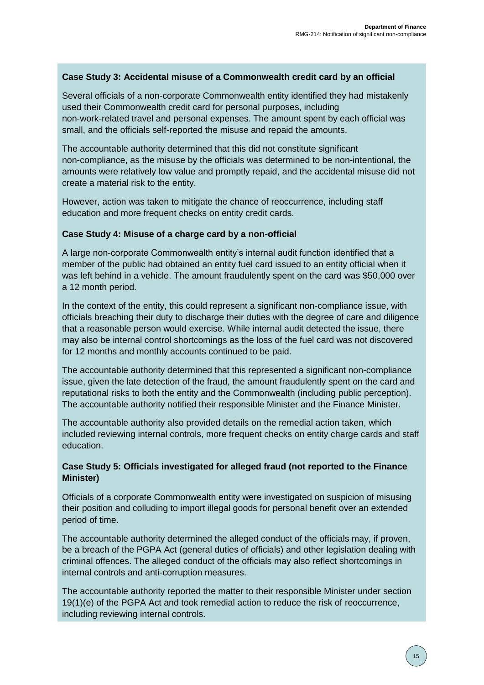### **Case Study 3: Accidental misuse of a Commonwealth credit card by an official**

Several officials of a non-corporate Commonwealth entity identified they had mistakenly used their Commonwealth credit card for personal purposes, including non-work-related travel and personal expenses. The amount spent by each official was small, and the officials self-reported the misuse and repaid the amounts.

The accountable authority determined that this did not constitute significant non-compliance, as the misuse by the officials was determined to be non-intentional, the amounts were relatively low value and promptly repaid, and the accidental misuse did not create a material risk to the entity.

However, action was taken to mitigate the chance of reoccurrence, including staff education and more frequent checks on entity credit cards.

#### **Case Study 4: Misuse of a charge card by a non-official**

A large non-corporate Commonwealth entity's internal audit function identified that a member of the public had obtained an entity fuel card issued to an entity official when it was left behind in a vehicle. The amount fraudulently spent on the card was \$50,000 over a 12 month period.

In the context of the entity, this could represent a significant non-compliance issue, with officials breaching their duty to discharge their duties with the degree of care and diligence that a reasonable person would exercise. While internal audit detected the issue, there may also be internal control shortcomings as the loss of the fuel card was not discovered for 12 months and monthly accounts continued to be paid.

The accountable authority determined that this represented a significant non-compliance issue, given the late detection of the fraud, the amount fraudulently spent on the card and reputational risks to both the entity and the Commonwealth (including public perception). The accountable authority notified their responsible Minister and the Finance Minister.

The accountable authority also provided details on the remedial action taken, which included reviewing internal controls, more frequent checks on entity charge cards and staff education.

### **Case Study 5: Officials investigated for alleged fraud (not reported to the Finance Minister)**

Officials of a corporate Commonwealth entity were investigated on suspicion of misusing their position and colluding to import illegal goods for personal benefit over an extended period of time.

The accountable authority determined the alleged conduct of the officials may, if proven, be a breach of the PGPA Act (general duties of officials) and other legislation dealing with criminal offences. The alleged conduct of the officials may also reflect shortcomings in internal controls and anti-corruption measures.

The accountable authority reported the matter to their responsible Minister under section 19(1)(e) of the PGPA Act and took remedial action to reduce the risk of reoccurrence, including reviewing internal controls.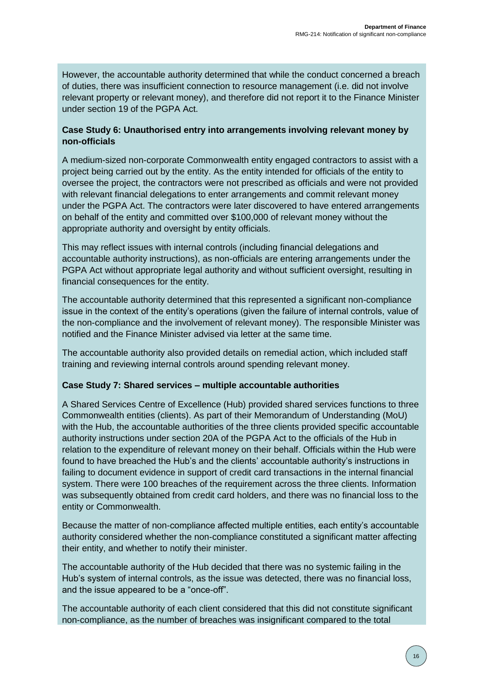However, the accountable authority determined that while the conduct concerned a breach of duties, there was insufficient connection to resource management (i.e. did not involve relevant property or relevant money), and therefore did not report it to the Finance Minister under section 19 of the PGPA Act.

### **Case Study 6: Unauthorised entry into arrangements involving relevant money by non-officials**

A medium-sized non-corporate Commonwealth entity engaged contractors to assist with a project being carried out by the entity. As the entity intended for officials of the entity to oversee the project, the contractors were not prescribed as officials and were not provided with relevant financial delegations to enter arrangements and commit relevant money under the PGPA Act. The contractors were later discovered to have entered arrangements on behalf of the entity and committed over \$100,000 of relevant money without the appropriate authority and oversight by entity officials.

This may reflect issues with internal controls (including financial delegations and accountable authority instructions), as non-officials are entering arrangements under the PGPA Act without appropriate legal authority and without sufficient oversight, resulting in financial consequences for the entity.

The accountable authority determined that this represented a significant non-compliance issue in the context of the entity's operations (given the failure of internal controls, value of the non-compliance and the involvement of relevant money). The responsible Minister was notified and the Finance Minister advised via letter at the same time.

The accountable authority also provided details on remedial action, which included staff training and reviewing internal controls around spending relevant money.

#### **Case Study 7: Shared services – multiple accountable authorities**

A Shared Services Centre of Excellence (Hub) provided shared services functions to three Commonwealth entities (clients). As part of their Memorandum of Understanding (MoU) with the Hub, the accountable authorities of the three clients provided specific accountable authority instructions under section 20A of the PGPA Act to the officials of the Hub in relation to the expenditure of relevant money on their behalf. Officials within the Hub were found to have breached the Hub's and the clients' accountable authority's instructions in failing to document evidence in support of credit card transactions in the internal financial system. There were 100 breaches of the requirement across the three clients. Information was subsequently obtained from credit card holders, and there was no financial loss to the entity or Commonwealth.

Because the matter of non-compliance affected multiple entities, each entity's accountable authority considered whether the non-compliance constituted a significant matter affecting their entity, and whether to notify their minister.

The accountable authority of the Hub decided that there was no systemic failing in the Hub's system of internal controls, as the issue was detected, there was no financial loss, and the issue appeared to be a "once-off".

The accountable authority of each client considered that this did not constitute significant non-compliance, as the number of breaches was insignificant compared to the total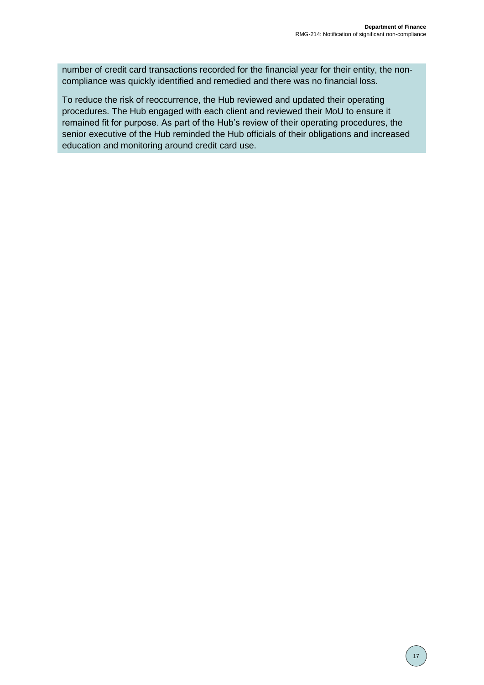number of credit card transactions recorded for the financial year for their entity, the noncompliance was quickly identified and remedied and there was no financial loss.

To reduce the risk of reoccurrence, the Hub reviewed and updated their operating procedures. The Hub engaged with each client and reviewed their MoU to ensure it remained fit for purpose. As part of the Hub's review of their operating procedures, the senior executive of the Hub reminded the Hub officials of their obligations and increased education and monitoring around credit card use.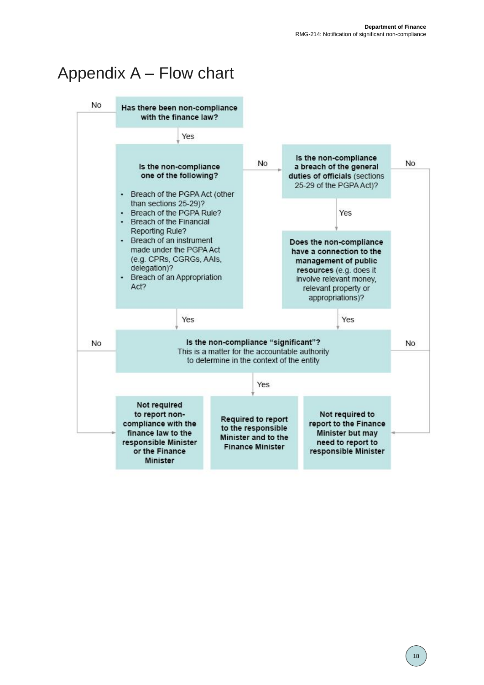# <span id="page-17-0"></span>Appendix A – Flow chart

<span id="page-17-1"></span>